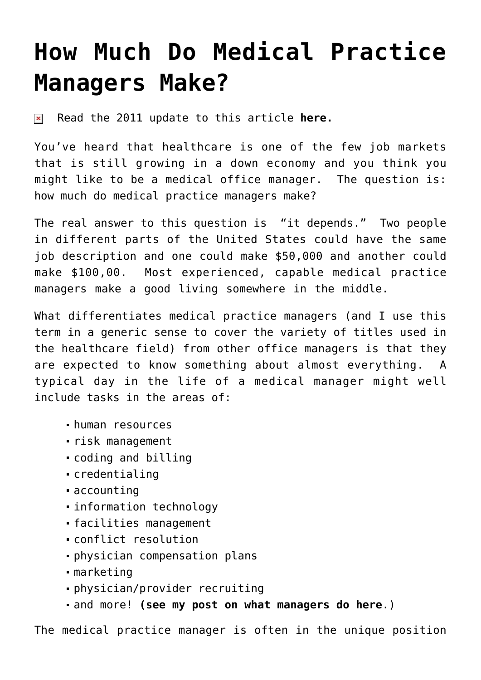## **[How Much Do Medical Practice](https://managemypractice.com/how-much-do-medical-practice-managers-make/) [Managers Make?](https://managemypractice.com/how-much-do-medical-practice-managers-make/)**

 $\pmb{\times}$ Read the 2011 update to this article **[here.](http://bit.ly/jrVgLV)**

You've heard that healthcare is one of the few job markets that is still growing in a down economy and you think you might like to be a medical office manager. The question is: how much do medical practice managers make?

The real answer to this question is "it depends." Two people in different parts of the United States could have the same job description and one could make \$50,000 and another could make \$100,00. Most experienced, capable medical practice managers make a good living somewhere in the middle.

What differentiates medical practice managers (and I use this term in a generic sense to cover the variety of titles used in the healthcare field) from other office managers is that they are expected to know something about almost everything. A typical day in the life of a medical manager might well include tasks in the areas of:

- human resources
- risk management
- coding and billing
- credentialing
- accounting
- information technology
- facilities management
- conflict resolution
- physician compensation plans
- marketing
- physician/provider recruiting
- and more! **[\(see my post on what managers do here](https://managemypractice.com/what-does-a-medical-practice-manager-do/)**.)

The medical practice manager is often in the unique position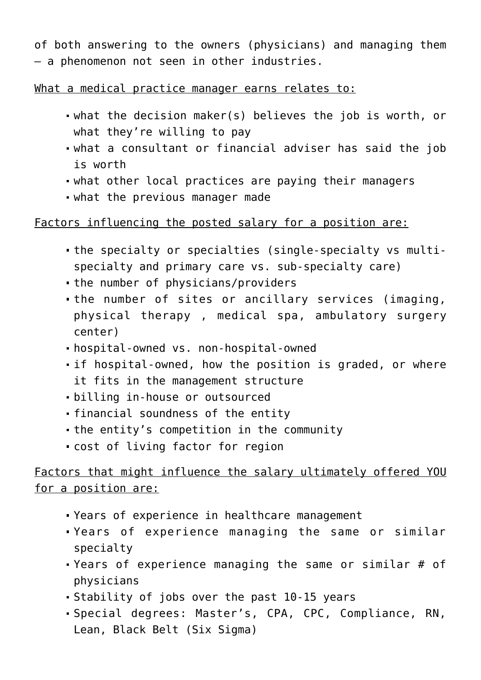of both answering to the owners (physicians) and managing them – a phenomenon not seen in other industries.

What a medical practice manager earns relates to:

- what the decision maker(s) believes the job is worth, or what they're willing to pay
- what a consultant or financial adviser has said the job is worth
- what other local practices are paying their managers
- what the previous manager made

## Factors influencing the posted salary for a position are:

- the specialty or specialties (single-specialty vs multispecialty and primary care vs. sub-specialty care)
- the number of physicians/providers
- the number of sites or ancillary services (imaging, physical therapy , medical spa, ambulatory surgery center)
- hospital-owned vs. non-hospital-owned
- if hospital-owned, how the position is graded, or where it fits in the management structure
- billing in-house or outsourced
- financial soundness of the entity
- the entity's competition in the community
- cost of living factor for region

## Factors that might influence the salary ultimately offered YOU for a position are:

- Years of experience in healthcare management
- Years of experience managing the same or similar specialty
- Years of experience managing the same or similar # of physicians
- Stability of jobs over the past 10-15 years
- Special degrees: Master's, CPA, CPC, Compliance, RN, Lean, Black Belt (Six Sigma)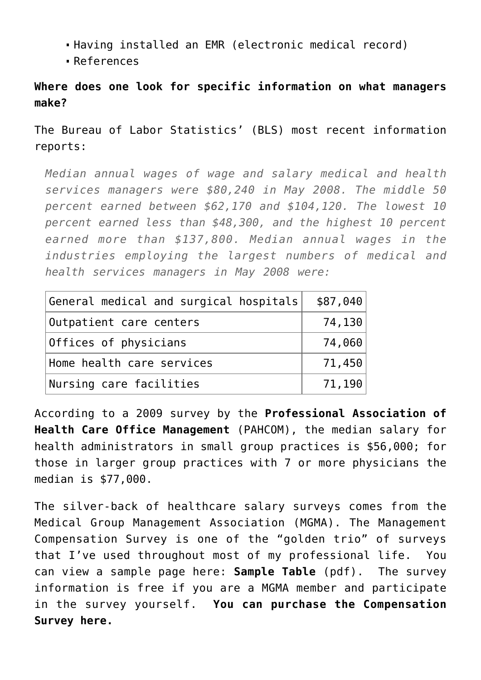- Having installed an EMR (electronic medical record)
- References

## **Where does one look for specific information on what managers make?**

The Bureau of Labor Statistics' (BLS) most recent information reports:

*Median annual wages of wage and salary medical and health services managers were \$80,240 in May 2008. The middle 50 percent earned between \$62,170 and \$104,120. The lowest 10 percent earned less than \$48,300, and the highest 10 percent earned more than \$137,800. Median annual wages in the industries employing the largest numbers of medical and health services managers in May 2008 were:*

| General medical and surgical hospitals | \$87,040         |
|----------------------------------------|------------------|
| Outpatient care centers                | 74,130           |
| Offices of physicians                  | 74,060           |
| Home health care services              | 71,450           |
| Nursing care facilities                | $71,190$ $\vert$ |

According to a 2009 survey by the **[Professional Association of](http://www.pahcom.com) [Health Care Office Management](http://www.pahcom.com)** (PAHCOM), the median salary for health administrators in small group practices is \$56,000; for those in larger group practices with 7 or more physicians the median is \$77,000.

The silver-back of healthcare salary surveys comes from the Medical Group Management Association (MGMA). The Management Compensation Survey is one of the "golden trio" of surveys that I've used throughout most of my professional life. You can view a sample page here: **[Sample Table](http://www.mgma.com/uploadedFiles/Store_Content/Surveys_and_Benchmarking/8618_MC_TOC(1).pdf)** (pdf). The survey information is free if you are a MGMA member and participate in the survey yourself. **[You can purchase the Compensation](http://www.mgma.com/store/mgma-surveys/) [Survey here.](http://www.mgma.com/store/mgma-surveys/)**